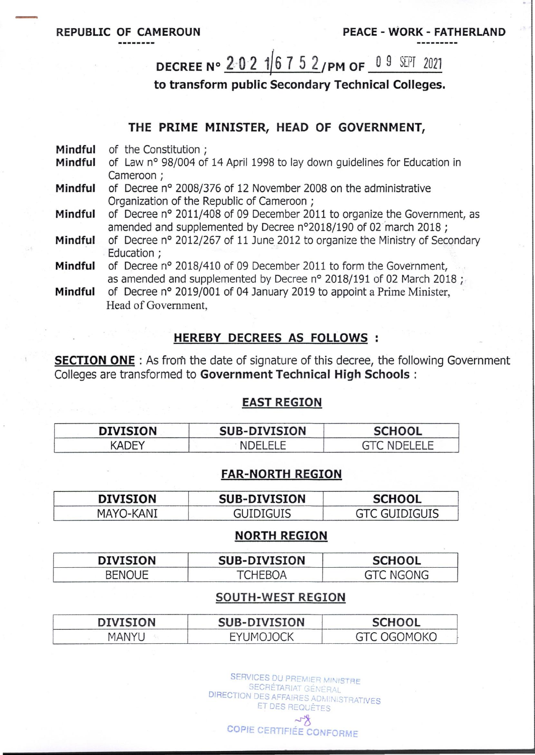# DECREE N° 2021 6752/PM OF 09 SEPT 2021

to transform public Secondary Technical Colleges.

### THE PRIME MINISTER, HEAD OF GOVERNMENT,

| Mindful |  |  | of the Constitution; |  |
|---------|--|--|----------------------|--|
|---------|--|--|----------------------|--|

- Mindful of Law n° 98/004 of 14 April 1998 to lay down quidelines for Education in Cameroon :
- Mindful of Decree nº 2008/376 of 12 November 2008 on the administrative Organization of the Republic of Cameroon ;
- of Decree nº 2011/408 of 09 December 2011 to organize the Government, as Mindful amended and supplemented by Decree n°2018/190 of 02 march 2018;
- of Decree nº 2012/267 of 11 June 2012 to organize the Ministry of Secondary Mindful Education ;

Mindful of Decree nº 2018/410 of 09 December 2011 to form the Government, as amended and supplemented by Decree n° 2018/191 of 02 March 2018;

of Decree n° 2019/001 of 04 January 2019 to appoint a Prime Minister. Mindful Head of Government.

## **HEREBY DECREES AS FOLLOWS :**

**SECTION ONE**: As from the date of signature of this decree, the following Government Colleges are transformed to Government Technical High Schools :

#### **EAST REGION**

| <b>DIVISION</b> | <b>SUB-DIVISION</b> | <b>SCHOOL</b> |
|-----------------|---------------------|---------------|
| <b>ADEY</b>     | NDELELE             | NDELELE       |

#### **FAR-NORTH REGION**

| <b>DIVISION</b> | <b>SUB-DIVISION</b> | <b>SCHOOL</b>        |  |
|-----------------|---------------------|----------------------|--|
| MAYO-KANI       | GUIDIGUIS           | <b>GTC GUIDIGUIS</b> |  |

#### **NORTH REGION**

| <b>DIVISION</b> | <b>SUB-DIVISION</b> | <b>SCHOOL</b> |
|-----------------|---------------------|---------------|
| <b>RENOLIE</b>  | TCHFRUP             | C NGONG       |

#### **SOUTH-WEST REGION**

| IVISION | <b>SUB-DIVISION</b>             | <b>CHOOL</b><br>5CH1           |  |
|---------|---------------------------------|--------------------------------|--|
|         | <b>IMI</b><br>$\mathbf{u}$<br>⊢ | <sup>-</sup><br>$1$ K $\ell$ . |  |

SERVICES DU PREMIER MINISTRE SECRÉTARIAT GÉNÉRAL DIRECTION DES AFFAIRES ADMINISTRATIVES ET DES REQUÈTES  $\sim$ 

**COPIE CERTIFIÉE CONFORME**